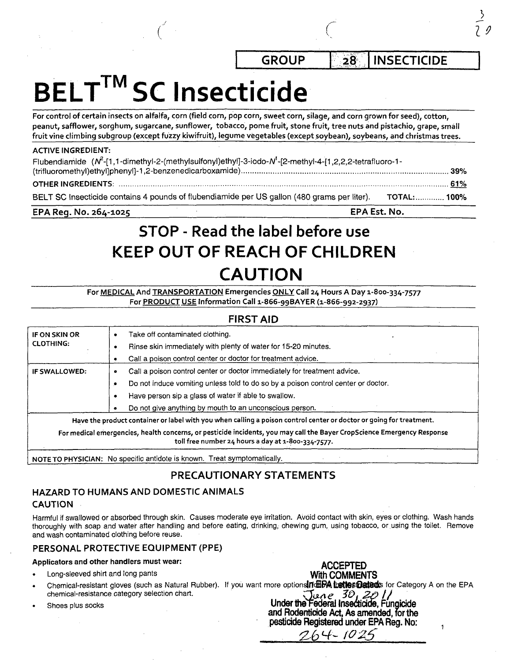GROUP | 28 | INSECTICIDE

2 *9* 

# BELT<sup>™</sup>SC Insecticide

For control of certain insects on alfalfa, corn (field corn, pop corn, sweet corn, silage, and corn grown for seed), cotton, peanut, safflower, sorghum, sugarcane, sunflower, tobacco, pome fruit, stone fruit, tree nuts and pistachio, grape, small fruit vine climbing subgroup (except fuzzy kiwifruit), legume vegetables (except soybean), soybeans, and Christmas trees.

#### ACTIVE INGREDIENT:

| Flubendiamide ( $N^2$ -[1,1-dimethyl-2-(methylsulfonyl)ethyl]-3-iodo- $N^1$ -[2-methyl-4-[1,2,2,2-tetrafluoro-1- |  |
|------------------------------------------------------------------------------------------------------------------|--|
|                                                                                                                  |  |
|                                                                                                                  |  |
| BELT SC Insecticide contains 4 pounds of flubendiamide per US gallon (480 grams per liter). TOTAL: 100%          |  |

#### EPA Reg. No. 264-1025 ' EPA Est. No.

## STOP - Read the label before use KEEP OUT OF REACH OF CHILDREN CAUTION

For MEDICAL And TRANSPORTATION Emergencies ONLY Call 24 Hours A Day 1-800-334-7577 For PRODUCT USE Information Call 1-866-99BAYER (1-866-992-2937)

## FIRST AID

| IF ON SKIN OR        | Take off contaminated clothing.<br>۰                                                                                                                                          |
|----------------------|-------------------------------------------------------------------------------------------------------------------------------------------------------------------------------|
| <b>CLOTHING:</b>     | Rinse skin immediately with plenty of water for 15-20 minutes.                                                                                                                |
|                      | Call a poison control center or doctor for treatment advice.                                                                                                                  |
| <b>IF SWALLOWED:</b> | Call a poison control center or doctor immediately for treatment advice.<br>۰                                                                                                 |
|                      | Do not induce vomiting unless told to do so by a poison control center or doctor.<br>٠                                                                                        |
|                      | Have person sip a glass of water if able to swallow.                                                                                                                          |
|                      | Do not give anything by mouth to an unconscious person.                                                                                                                       |
|                      | Have the product container or label with you when calling a poison control center or doctor or going for treatment.                                                           |
|                      | For medical emergencies, health concerns, or pesticide incidents, you may call the Bayer CropScience Emergency Response<br>toll free number 24 hours a day at 1-800-334-7577. |
|                      |                                                                                                                                                                               |

NOTE TO PHYSICIAN: No specific antidote is known. Treat symptomatically.

## PRECAUTIONARY STATEMENTS

## HAZARD TO HUMANS AND DOMESTIC ANIMALS CAUTION

Harmful if swallowed or absorbed through skin. Causes moderate eye irritation. Avoid contact with skin, eyes or clothing. Wash hands thoroughly with soap and water after handling and before eating, drinking, chewing gum, using tobacco, or using the toilet. Remove and wash contaminated clothing before reuse.

## PERSONAL PROTECTIVE EQUIPMENT (PPE)

## Applicators and other handlers must wear: **ACCEPTED**

- Long-sleeved shirt and long pants With COMMENTS
- Chemical-resistant gloves (such as Natural Rubber). If you want more options From the States for Category A on the EPA chemical-resistance category selection chart. chemical-resistance category selection chart.<br>
Shoes plus socks **Under the Federal insecticide, Fungicide**
- 

and Rodenticide Act, As amended, for the pesticide Registered under EPA Reg. No:

 $\ddot{\phantom{1}}$ 

 $(026$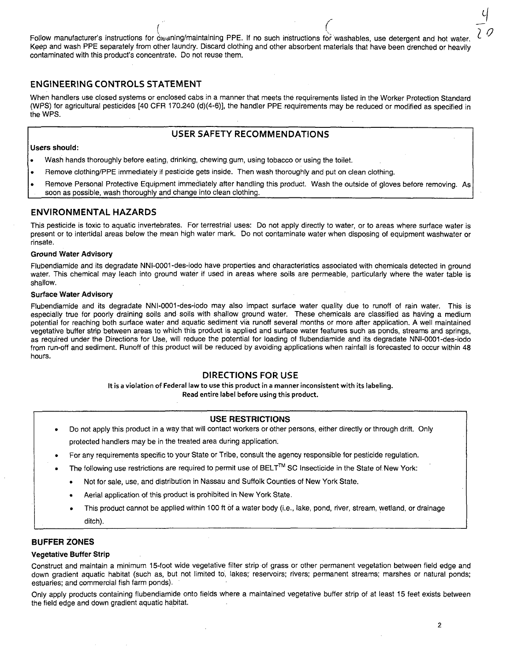Follow manufacturer's instructions for cleaning/maintaining PPE. If no such instructions for washables, use detergent and hot water. Keep and wash PPE separately from other laundry. Discard clothing and other absorbent materials that have been drenched or heavily contaminated with this product's concentrate. Do not reuse them.

#### ENGINEERING CONTROLS STATEMENT

When handlers use closed systems or enclosed cabs in a manner that meets the requirements listed in the Worker Protection Standard (WPS) for agricultural pesticides [40 CFR 170.240 (d)(4-6)], the handler PPE requirements may be reduced or modified as specified in the WPS.

#### USER SAFETY RECOMMENDATIONS

#### Users should:

- Wash hands thoroughly before eating, drinking, chewing gum, using tobacco or using the toilet.
- Remove clothing/PPE immediately if pesticide gets inside. Then wash thoroughly and put on clean clothing.
- Remove Personal Protective Equipment immediately after handling this product. Wash the outside of gloves before removing. As soon as possible, wash thoroughly and change into clean clothing.

#### ENVIRONMENTAL HAZARDS

This pesticide is toxic to aquatic invertebrates. For terrestrial uses: Do not apply directly to water, or to areas where surface water is present or to intertidal areas below the mean high water mark. Do not contaminate water when disposing of equipment washwater or rinsate.

#### Ground Water Advisory

Flubendiamide and its degradate NNI-0001-des-iodo have properties and characteristics associated with chemicals detected in ground water. This chemical may leach into ground water if used in areas where soils are permeable, particularly where the water table is shallow.

#### Surface Water Advisory

Flubendiamide and its degradate NNI-0001-des-iodo may also impact surface water quality due to runoff of rain water. This is especially true for poorly draining soils and soils with shallow ground water. These chemicals are classified as having a medium potential for reaching both surface water and aquatic sediment via runoff several months or more after application. A well maintained vegetative buffer strip between areas to which this product is applied and surface water features such as ponds, streams and springs, as required under the Directions for Use, will reduce the potential for loading of flubendiamide and its degradate NNI-0001-des-iodo from run-off and sediment. Runoff of this product will be reduced by avoiding applications when rainfall is forecasted to occur within 48 hours.

#### DIRECTIONS FOR USE

It is a violation of Federal law to use this product in a manner inconsistent with its labeling. Read entire label before using this product.

#### USE RESTRICTIONS

- Do not apply this product in a way that will contact workers or other persons, either directly or through drift. Only protected handlers may be in the treated area during application.
- For any requirements specific to your State or Tribe, consult the agency responsible for pesticide regulation.
- The following use restrictions are required to permit use of BELT™ SC Insecticide in the State of New York:
	- Not for sale, use, and distribution in Nassau and Suffolk Counties of New York State.
	- Aerial application of this product is prohibited in New York State.
	- This product cannot be applied within 100 ft of a water body (i.e., lake, pond, river, stream, wetland, or drainage ditch).

#### BUFFER ZONES

#### Vegetative Buffer Strip

Construct and maintain a minimum 15-foot wide vegetative filter strip of grass or other permanent vegetation between field edge and down gradient aquatic habitat (such as, but not limited to, lakes; reservoirs; rivers; permanent streams; marshes or natural ponds; estuaries; and commercial fish farm ponds).

Only apply products containing flubendiamide onto fields where a maintained vegetative buffer strip of at least 15 feet exists between the field edge and down gradient aquatic habitat.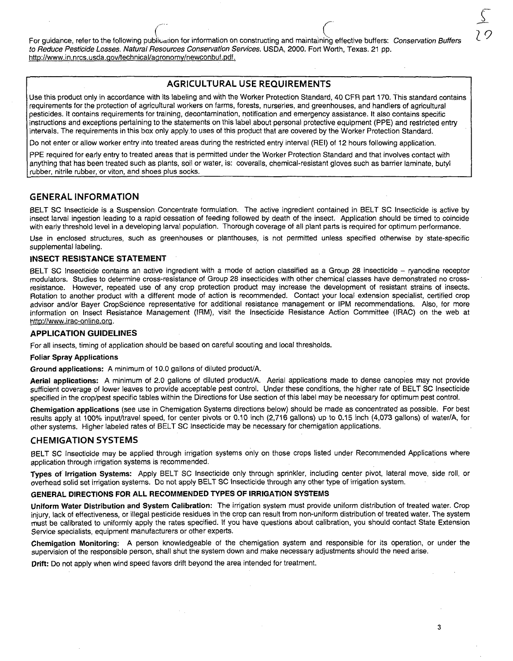For guidance, refer to the following publication for information on constructing and maintaining effective buffers: Conservation Buffers to Reduce Pesticide Losses. Natural Resources Conservation Services. USDA, 2000. Fort Worth, Texas. 21 pp. http://www.in.nrcs.usda.gov/technical/aaronomy/newconbuf.pdf.

## AGRICULTURAL USE REQUIREMENTS

Use this product only in accordance with its labeling and with the Worker Protection Standard, 40 CFR part 170. This standard contains requirements for the protection of agricultural workers on farms, forests, nurseries, and greenhouses, and handlers of agricultural pesticides. It contains requirements for training, decontamination, notification and emergency assistance. It also contains specific instructions and exceptions pertaining to the statements on this label about personal protective equipment (PPE) and restricted entry intervals. The requirements in this box only apply to uses of this product that are covered by the Worker Protection Standard.

Do not enter or allow worker entry into treated areas during the restricted entry interval (REI) of 12 hours following application.

PPE required for early entry to treated areas that is permitted under the Worker Protection Standard and that involves contact with anything that has been treated such as plants, soil or water, is: coveralls, chemical-resistant gloves such as barrier laminate, butyl rubber, nitrile rubber, or viton, and shoes plus socks.

#### GENERAL INFORMATION

BELT SC Insecticide is a Suspension Concentrate formulation. The active ingredient contained in BELT SC Insecticide is active by insect larval ingestion leading to a rapid cessation of feeding followed by death of the insect. Application should be timed to coincide with early threshold level in a developing larval population. Thorough coverage of all plant parts is required for optimum performance.

Use in enclosed structures, such as greenhouses or planthouses, is not permitted unless specified otherwise by state-specific supplemental labeling.

#### INSECT RESISTANCE STATEMENT

BELT SC Insecticide contains an active ingredient with a mode of action classified as a Group 28 insecticide - ryanodine receptor modulators. Studies to determine cross-resistance of Group 28 insecticides with other chemical classes have demonstrated no crossresistance. However, repeated use of any crop protection product may increase the development of resistant strains of insects. Rotation to another product with a different mode of action is recommended. Contact your local extension specialist, certified crop advisor and/or Bayer CropScience representative for additional resistance management or IPM recommendations. Also, for more information on Insect Resistance Management (IRM), visit the Insecticide Resistance Action Committee (IRAC) on the web at http://www.irac-online.org.

#### APPLICATION GUIDELINES

For all insects, timing of application should be based on careful scouting and local thresholds.

#### Foliar Spray Applications

Ground applications: A minimum of 10.0 gallons of diluted product/A.

Aerial applications: A minimum of 2.0 gallons of diluted product/A. Aerial applications made to dense canopies may not provide sufficient coverage of lower leaves to provide acceptable pest control. Under these conditions, the higher rate of BELT SC Insecticide specified in the crop/pest specific tables within the Directions for Use section of this label may be necessary for optimum pest control.

Chemigation applications (see use in Chemigation Systems directions below) should be made as concentrated as possible. For best results apply at 100% input/travel speed, for center pivots or 0.10 inch (2,716 gallons) up to 0.15 inch (4,073 gallons) of water/A, for other systems. Higher labeled rates of BELT SC Insecticide may be necessary for Chemigation applications.

#### CHEMIGATION SYSTEMS

BELT SC Insecticide may be applied through irrigation systems only on those crops listed under Recommended Applications where application through irrigation systems is recommended.

Types of Irrigation Systems: Apply BELT SC Insecticide only through sprinkler, including center pivot, lateral move, side roll, or overhead solid set irrigation systems. Do not apply BELT SC Insecticide through any other type of irrigation system.

#### GENERAL DIRECTIONS FOR ALL RECOMMENDED TYPES OF IRRIGATION SYSTEMS

Uniform Water Distribution and System Calibration: The irrigation system must provide uniform distribution of treated water. Crop injury, lack of effectiveness, or illegal pesticide residues in the crop can result from non-uniform distribution of treated water. The system must be calibrated to uniformly apply the rates specified. If you have questions about calibration, you should contact State Extension Service specialists, equipment manufacturers or other experts.

Chemigation Monitoring: A person knowledgeable of the Chemigation system and responsible for its operation, or under the supervision of the responsible person, shall shut the system down and make necessary adjustments should the need arise.

Drift: Do not apply when wind speed favors drift beyond the area intended for treatment.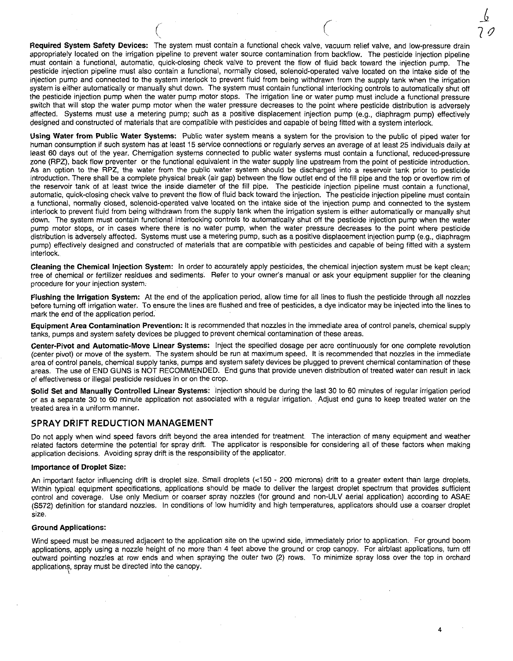Required System Safety Devices: The system must contain a functional check valve, vacuum relief valve, and low-pressure drain appropriately located on the irrigation pipeline to prevent water source contamination from backflow. The pesticide injection pipeline must contain a functional, automatic, quick-closing check valve to prevent the flow of fluid back toward the injection pump. The pesticide injection pipeline must also contain a functional, normally closed, solenoid-operated valve located on the intake side of the injection pump and connected to the system interlock to prevent fluid from being withdrawn from the supply tank when the irrigation system is either automatically or manually shut down. The system must contain functional interlocking controls to automatically shut off the pesticide injection pump when the water pump motor stops. The irrigation line or water pump must include a functional pressure switch that will stop the water pump motor when the water pressure decreases to the point where pesticide distribution is adversely affected. Systems must use a metering pump; such as a positive displacement injection pump (e.g., diaphragm pump) effectively designed and constructed of materials that are compatible with pesticides and capable of being fitted with a system interlock.

Using Water from Public Water Systems: Public water system means a system for the provision to the public of piped water for human consumption if such system has at least 15 service connections or regularly serves an average of at least 25 individuals daily at least 60 days out of the year. Chemigation systems connected to public water systems must contain a functional, reduced-pressure zone (RPZ), back flow preventer or the functional equivalent in the water supply line upstream from the point of pesticide introduction. As an option to the RPZ, the water from the public water system should be discharged into a reservoir tank prior to pesticide introduction. There shall be a complete physical break (air gap) between the flow outlet end of the fill pipe and the top or overflow rim of the reservoir tank of at least twice the inside diameter of the fill pipe. The pesticide injection pipeline must contain a functional, automatic, quick-closing check valve to prevent the flow of fluid back toward the injection. The pesticide injection pipeline must contain a functional, normally closed, solenoid-operated valve located on the intake side of the injection pump and connected to the system interlock to prevent fluid from being withdrawn from the supply tank when the irrigation system is either automatically or manually shut down. The system must contain functional interlocking controls to automatically shut off the pesticide injection pump when the water pump motor stops, or in cases where there is no water pump, when the water pressure decreases to the point where pesticide distribution is adversely affected. Systems must use a metering pump, such as a positive displacement injection pump (e.g., diaphragm pump) effectively designed and constructed of materials that are compatible with pesticides and capable of being fitted with a system interlock.

Cleaning the Chemical Injection System: In order to accurately apply pesticides, the chemical injection system must be kept clean; free of chemical or fertilizer residues and sediments. Refer to your owner's manual or ask your equipment supplier for the cleaning procedure for your injection system.

Flushing the Irrigation System: At the end of the application period, allow time for all lines to flush the pesticide through all nozzles before turning off irrigation water. To ensure the lines are flushed and free of pesticides, a dye indicator may be injected into the lines to mark the end of the application period.

Equipment Area Contamination Prevention: It is recommended that nozzles in the immediate area of control panels, chemical supply tanks, pumps and system safety devices be plugged to prevent chemical contamination of these areas.

Center-Pivot and Automatic-Move Linear Systems: Inject the specified dosage per acre continuously for one complete revolution (center pivot) or move of the system. The system should be run at maximum speed. It is recommended that nozzles in the immediate area of control panels, chemical supply tanks, pumps and system safety devices be plugged to prevent chemical contamination of these areas. The use of END GUNS is NOT RECOMMENDED. End guns that provide uneven distribution of treated water can result in lack of effectiveness or illegal pesticide residues in or on the crop.

Solid Set and Manually Controlled Linear Systems: Injection should be during the last 30 to 60 minutes of regular irrigation period or as a separate 30 to 60 minute application not associated with a regular irrigation. Adjust end guns to keep treated water on the treated area in a uniform manner.

#### SPRAY DRIFT REDUCTION MANAGEMENT

Do not apply when wind speed favors drift beyond the area intended for treatment. The interaction of many equipment and weather related factors determine the potential for spray drift. The applicator is responsible for considering all. of these factors when making application decisions. Avoiding spray drift is the responsibility of the applicator.

#### Importance of Droplet Size:

An important factor influencing drift is droplet size. Small droplets (<150 - 200 microns) drift to a greater extent than large droplets. Within typical equipment specifications, applications should be made to deliver the largest droplet spectrum that provides sufficient control and coverage. Use only Medium or coarser spray nozzles (for ground and non-ULV aerial application) according to ASAE (S572) definition for standard nozzles. In conditions of low humidity and high temperatures, applicators should use a coarser droplet size.

#### Ground Applications:

Wind speed must be measured adjacent to the application site on the upwind side, immediately prior to application. For ground boom applications, apply using a nozzle height of no more than 4 feet above the ground or crop canopy. For airblast applications, turn off outward pointing nozzles at row ends and when spraying the outer two (2) rows. To minimize spray loss over the top in orchard applications, spray must be directed into the canopy.

10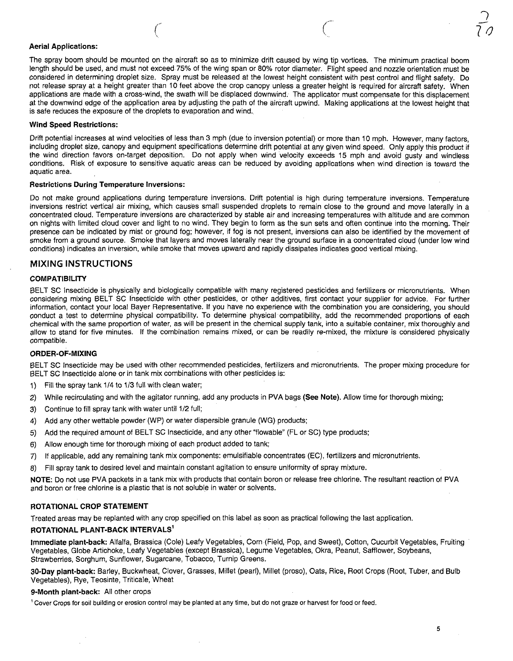#### Aerial Applications:

The spray boom should be mounted on the aircraft so as to minimize drift caused by wing tip vortices. The minimum practical boom length should be used, and must not exceed 75% of the wing span or 80% rotor diameter. Flight speed and nozzle orientation must be considered in determining droplet size. Spray must be released at the lowest height consistent with pest control and flight safety. Do not release spray at a height greater than 10 feet above the crop canopy unless a greater height is required for aircraft safety. When applications are made with a cross-wind, the swath will be displaced downwind. The applicator must compensate for this displacement at the downwind edge of the application area by adjusting the path of the aircraft upwind. Making applications at the lowest height that is safe reduces the exposure of the droplets to evaporation and wind.

#### Wind Speed Restrictions:

Drift potential increases at wind velocities of less than 3 mph (due to inversion potential) or more than 10 mph. However, many factors, including droplet size, canopy and equipment specifications determine drift potential at any given wind speed. Only apply this product if the wind direction favors on-target deposition. Do not apply when wind velocity exceeds 15 mph and avoid gusty and windless conditions. Risk of exposure to sensitive aquatic areas can be reduced by avoiding applications when wind direction is toward the aquatic area.

#### Restrictions During Temperature Inversions:

Do not make ground applications during temperature inversions. Drift potential is high during temperature inversions. Temperature inversions restrict vertical air mixing, which causes small suspended droplets to remain close to the ground and move laterally in a concentrated cloud. Temperature inversions are characterized by stable air and increasing temperatures with altitude and are common on nights with limited cloud cover and light to no wind. They begin to form as the sun sets and often continue into the morning. Their presence can be indicated by mist or ground fog; however, if fog is not present, inversions can also be identified by the movement of smoke from a ground source. Smoke that layers and moves laterally near the ground surface in a concentrated cloud (under low wind conditions) indicates an inversion, while smoke that moves upward and rapidly dissipates indicates good vertical mixing.

#### MIXING INSTRUCTIONS

#### **COMPATIBILITY**

BELT SC Insecticide is physically and biologically compatible with many registered pesticides and fertilizers or micronutrients. When considering mixing BELT SC Insecticide with other pesticides, or other additives, first contact your supplier for advice. For further information, contact your local Bayer Representative. If you have no experience with the combination you are considering, you should conduct a test to determine physical compatibility. To determine physical compatibility, add the recommended proportions of each chemical with the same proportion of water, as will be present in the chemical supply tank, into a suitable container, mix thoroughly and allow to stand for five minutes. If the combination remains mixed, or can be readily re-mixed, the mixture is considered physically compatible.

#### ORDER-OF-MIXING

BELT SC Insecticide may be used with other recommended pesticides, fertilizers and micronutrients. The proper mixing procedure for BELT SC Insecticide alone or in tank mix combinations with other pesticides is:

- 1) Fill the spray tank 1/4 to 1/3 full with clean water;
- 2) While recirculating and with the agitator running, add any products in PVA bags (See Note). Allow time for thorough mixing;
- 3) Continue to fill spray tank with water until 1/2 full;
- 4) Add any other wettable powder (WP) or water dispersible granule (WG) products;
- 5) Add the required amount of BELT SC Insecticide, and any other "flowable" (FL or SC) type products;
- 6) Allow enough time for thorough mixing of each product added to tank;
- 7) If applicable, add any remaining tank mix components: emulsifiable concentrates (EC), fertilizers and micronutrients.
- 8) Fill spray tank to desired level and maintain constant agitation to ensure uniformity of spray mixture.

NOTE: Do not use PVA packets in a tank mix with products that contain boron or release free chlorine. The resultant reaction of PVA and boron or free chlorine is a plastic that is not soluble in water or solvents.

#### ROTATIONAL CROP STATEMENT

Treated areas may be replanted with any crop specified on this label as soon as practical following the last application.

#### ROTATIONAL PLANT-BACK INTERVALS<sup>1</sup>

Immediate plant-back: Alfalfa, Brassica (Cole) Leafy Vegetables, Corn (Field, Pop, and Sweet), Cotton, Cucurbit Vegetables, Fruiting Vegetables, Globe Artichoke, Leafy Vegetables (except Brassica), Legume Vegetables, Okra, Peanut, Safflower, Soybeans, Strawberries, Sorghum, Sunflower, Sugarcane, Tobacco, Turnip Greens.

30-Day plant-back: Barley, Buckwheat, Clover, Grasses, Millet (pearl), Millet (proso), Oats, Rice, Root Crops (Root, Tuber, and Bulb Vegetables), Rye, Teosinte, Triticale, Wheat

#### 9-Month plant-back: All other crops

' Cover Crops for soil building or erosion control may be planted at any time, but do not graze or harvest for food or feed.

 $\sim$  $7\sigma$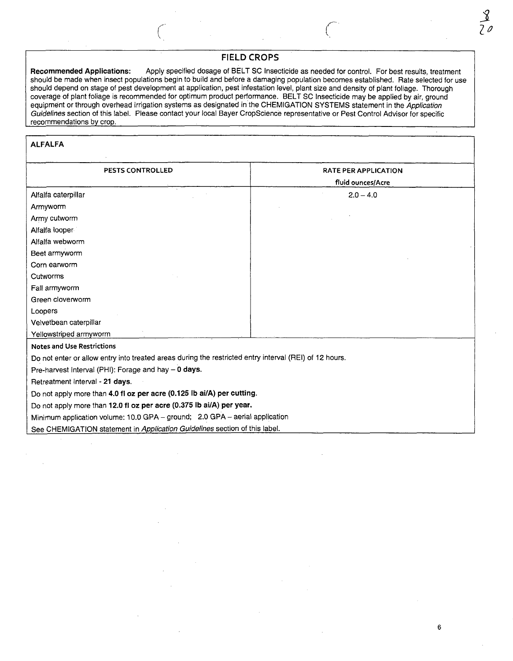## FIELD CROPS

Recommended Applications: Apply specified dosage of BELT SC Insecticide as needed for control. For best results, treatment should be made when insect populations begin to build and before a damaging population becomes established. Rate selected for use should depend on stage of pest development at application, pest infestation level, plant size and density of plant foliage. Thorough coverage of plant foliage is recommended for optimum product performance. BELT SC Insecticide may be applied by air, ground equipment or through overhead irrigation systems as designated in the CHEMIGATION SYSTEMS statement in the Application Guidelines section of this label. Please contact your local Bayer CropScience representative or Pest Control Advisor for specific recommendations by crop.

#### ALFALFA

| PESTS CONTROLLED                                                                                       | <b>RATE PER APPLICATION</b> |
|--------------------------------------------------------------------------------------------------------|-----------------------------|
|                                                                                                        | fluid ounces/Acre           |
| Alfalfa caterpillar                                                                                    | $2.0 - 4.0$                 |
| Armyworm                                                                                               |                             |
| Army cutworm                                                                                           |                             |
| Alfalfa looper                                                                                         |                             |
| Alfalfa webworm                                                                                        |                             |
| Beet armyworm                                                                                          |                             |
| Corn earworm                                                                                           |                             |
| Cutworms                                                                                               |                             |
| Fall armyworm                                                                                          |                             |
| Green cloverworm                                                                                       |                             |
| Loopers                                                                                                |                             |
| Velvetbean caterpillar                                                                                 |                             |
| Yellowstriped armyworm                                                                                 |                             |
| <b>Notes and Use Restrictions</b>                                                                      |                             |
| Do not enter or allow entry into treated areas during the restricted entry interval (REI) of 12 hours. |                             |
| Pre-harvest Interval (PHI): Forage and hay - 0 days.                                                   |                             |
| Retreatment Interval - 21 days.                                                                        |                             |
| Do not apply more than 4.0 fi oz per acre (0.125 lb ai/A) per cutting.                                 |                             |
| Do not apply more than 12.0 fl oz per acre (0.375 lb ai/A) per year.                                   |                             |
| Minimum application volume: 10.0 GPA - ground; 2.0 GPA - aerial application                            |                             |
| See CHEMIGATION statement in Application Guidelines section of this label.                             |                             |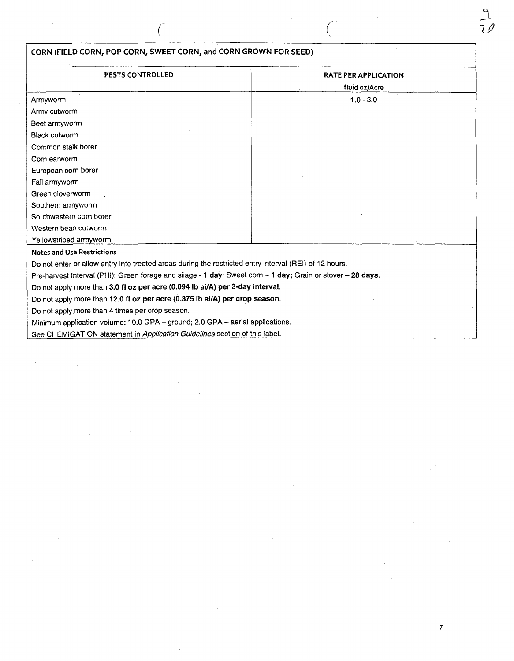|                                   | CORN (FIELD CORN, POP CORN, SWEET CORN, and CORN GROWN FOR SEED)                                            |                             |
|-----------------------------------|-------------------------------------------------------------------------------------------------------------|-----------------------------|
| PESTS CONTROLLED                  |                                                                                                             | <b>RATE PER APPLICATION</b> |
|                                   |                                                                                                             | fluid oz/Acre               |
| Armyworm                          |                                                                                                             | $1.0 - 3.0$                 |
| Army cutworm                      |                                                                                                             |                             |
| Beet armyworm                     |                                                                                                             |                             |
| <b>Black cutworm</b>              |                                                                                                             |                             |
| Common stalk borer                |                                                                                                             |                             |
| Corn earworm                      |                                                                                                             |                             |
| European corn borer               |                                                                                                             |                             |
| Fall armyworm                     |                                                                                                             |                             |
| Green cloverworm                  |                                                                                                             |                             |
| Southern armyworm                 |                                                                                                             |                             |
| Southwestern corn borer           |                                                                                                             |                             |
| Western bean cutworm              |                                                                                                             |                             |
| Yellowstriped armyworm            |                                                                                                             |                             |
| <b>Notes and Use Restrictions</b> |                                                                                                             |                             |
|                                   | Do not enter or allow entry into treated areas during the restricted entry interval (REI) of 12 hours.      |                             |
|                                   | Pre-harvest Interval (PHI): Green forage and silage - 1 day; Sweet corn - 1 day; Grain or stover - 28 days. |                             |
|                                   | Do not apply more than 3.0 fl oz per acre (0.094 lb ai/A) per 3-day interval.                               |                             |
|                                   | Do not apply more than 12.0 fl oz per acre (0.375 lb ai/A) per crop season.                                 |                             |
|                                   | Do not apply more than 4 times per crop season.                                                             |                             |
|                                   | Minimum application volume: 10.0 GPA - ground; 2.0 GPA - aerial applications.                               |                             |
|                                   | See CHEMIGATION statement in Application Guidelines section of this label.                                  |                             |

 $\label{eq:2.1} \frac{1}{2} \sum_{i=1}^n \frac{1}{2} \sum_{j=1}^n \frac{1}{2} \sum_{j=1}^n \frac{1}{2} \sum_{j=1}^n \frac{1}{2} \sum_{j=1}^n \frac{1}{2} \sum_{j=1}^n \frac{1}{2} \sum_{j=1}^n \frac{1}{2} \sum_{j=1}^n \frac{1}{2} \sum_{j=1}^n \frac{1}{2} \sum_{j=1}^n \frac{1}{2} \sum_{j=1}^n \frac{1}{2} \sum_{j=1}^n \frac{1}{2} \sum_{j=1}^n \frac{$ 

 $\label{eq:2.1} \frac{1}{\sqrt{2\pi}}\frac{1}{\sqrt{2\pi}}\int_{0}^{\infty}\frac{1}{\sqrt{2\pi}}\frac{1}{\sqrt{2\pi}}\int_{0}^{\infty}\frac{1}{\sqrt{2\pi}}\frac{1}{\sqrt{2\pi}}\frac{1}{\sqrt{2\pi}}\frac{1}{\sqrt{2\pi}}\frac{1}{\sqrt{2\pi}}\frac{1}{\sqrt{2\pi}}\frac{1}{\sqrt{2\pi}}\frac{1}{\sqrt{2\pi}}\frac{1}{\sqrt{2\pi}}\frac{1}{\sqrt{2\pi}}\frac{1}{\sqrt{2\pi}}\frac{1}{\sqrt{2\pi}}\$ 

 $\label{eq:2.1} \frac{1}{\sqrt{2}}\int_{\mathbb{R}^3}\frac{1}{\sqrt{2}}\left(\frac{1}{\sqrt{2}}\right)^2\frac{1}{\sqrt{2}}\left(\frac{1}{\sqrt{2}}\right)^2\frac{1}{\sqrt{2}}\left(\frac{1}{\sqrt{2}}\right)^2\frac{1}{\sqrt{2}}\left(\frac{1}{\sqrt{2}}\right)^2.$ 

 $\label{eq:2.1} \mathcal{L}_{\mathcal{A}}(\mathcal{A}) = \mathcal{L}_{\mathcal{A}}(\mathcal{A}) \mathcal{L}_{\mathcal{A}}(\mathcal{A})$ 

 $\frac{9}{10}$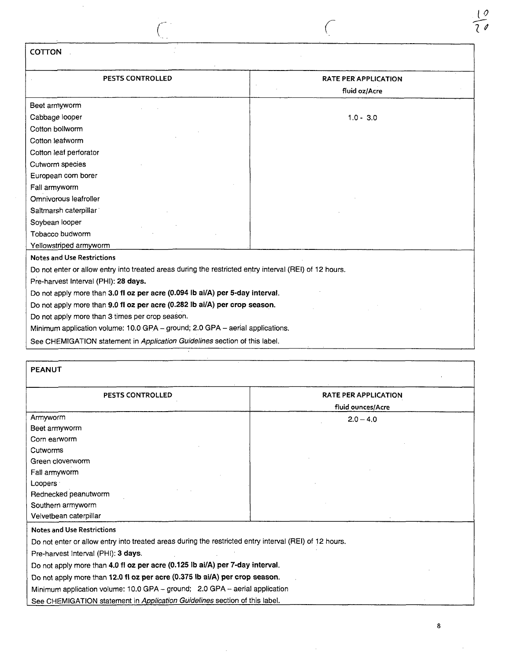| COTTON                                                                                                                                      |                                              |
|---------------------------------------------------------------------------------------------------------------------------------------------|----------------------------------------------|
| PESTS CONTROLLED                                                                                                                            | <b>RATE PER APPLICATION</b><br>fluid oz/Acre |
| Beet armyworm                                                                                                                               |                                              |
| Cabbage looper<br>Cotton bollworm                                                                                                           | $1.0 - 3.0$                                  |
| Cotton leafworm                                                                                                                             |                                              |
| Cotton leaf perforator<br>Cutworm species                                                                                                   |                                              |
| European corn borer<br>Fall armyworm                                                                                                        |                                              |
| Omnivorous leafroller<br>Saltmarsh caterpillar                                                                                              |                                              |
| Soybean looper<br>Tobacco budworm                                                                                                           |                                              |
| Yellowstriped armyworm                                                                                                                      |                                              |
| <b>Notes and Use Restrictions</b><br>Do not enter or allow entry into treated areas during the restricted entry interval (REI) of 12 hours. |                                              |
| Pre-harvest Interval (PHI): 28 days.                                                                                                        |                                              |
| Do not apply more than 3.0 fl oz per acre (0.094 lb ai/A) per 5-day interval.                                                               |                                              |
| Do not apply more than 9.0 fl oz per acre (0.282 lb ai/A) per crop season.<br>Do not apply more than 3 times per crop season.               |                                              |
| Minimum application volume: 10.0 GPA - ground; 2.0 GPA - aerial applications.                                                               |                                              |
| See CHEMIGATION statement in Application Guidelines section of this label.                                                                  |                                              |

| <b>PEANUT</b>                                                                                          |                             |  |
|--------------------------------------------------------------------------------------------------------|-----------------------------|--|
| PESTS CONTROLLED                                                                                       | <b>RATE PER APPLICATION</b> |  |
|                                                                                                        | fluid ounces/Acre           |  |
| Armyworm                                                                                               | $2.0 - 4.0$                 |  |
| Beet armyworm                                                                                          |                             |  |
| Corn earworm                                                                                           |                             |  |
| Cutworms                                                                                               |                             |  |
| Green cloverworm                                                                                       |                             |  |
| Fall armyworm                                                                                          |                             |  |
| Loopers :                                                                                              |                             |  |
| Rednecked peanutworm                                                                                   |                             |  |
| Southern armyworm                                                                                      |                             |  |
| Velvetbean caterpillar                                                                                 |                             |  |
| <b>Notes and Use Restrictions</b>                                                                      |                             |  |
| Do not enter or allow entry into treated areas during the restricted entry interval (REI) of 12 hours. |                             |  |
| Pre-harvest Interval (PHI): 3 days.                                                                    |                             |  |
| Do not apply more than 4.0 fl oz per acre (0.125 lb ai/A) per 7-day interval.                          |                             |  |
| Do not apply more than 12.0 fl oz per acre (0.375 lb ai/A) per crop season.                            |                             |  |

Minimum application volume: 10.0 GPA - ground; 2.0 GPA - aerial application

See CHEMIGATION statement in Application Guidelines section of this label.

 $\overline{0}$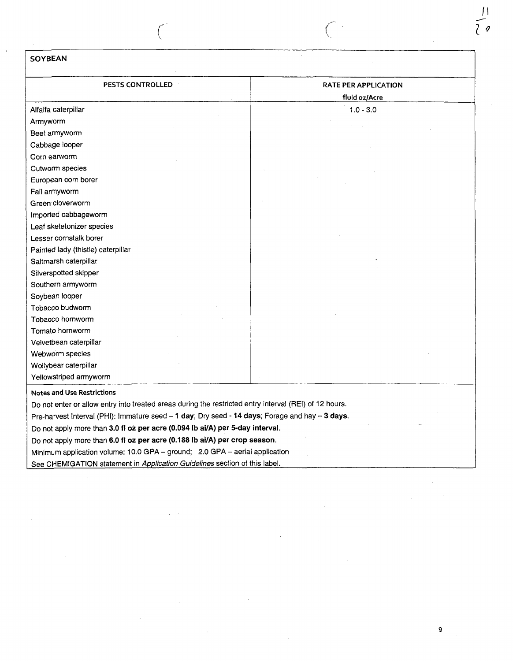## SOYBEAN

 $\bar{z}$ 

| <b>PESTS CONTROLLED</b>                                                                                | <b>RATE PER APPLICATION</b> |
|--------------------------------------------------------------------------------------------------------|-----------------------------|
|                                                                                                        | fluid oz/Acre               |
| Alfalfa caterpillar                                                                                    | $1.0 - 3.0$                 |
| Armyworm                                                                                               |                             |
| Beet armyworm                                                                                          |                             |
| Cabbage looper                                                                                         |                             |
| Corn earworm                                                                                           |                             |
| Cutworm species                                                                                        |                             |
| European corn borer                                                                                    |                             |
| Fall armyworm                                                                                          |                             |
| Green cloverworm                                                                                       |                             |
| Imported cabbageworm                                                                                   |                             |
| Leaf sketetonizer species                                                                              |                             |
| Lesser cornstalk borer                                                                                 |                             |
| Painted lady (thistle) caterpillar                                                                     |                             |
| Saltmarsh caterpillar                                                                                  |                             |
| Silverspotted skipper                                                                                  |                             |
| Southern armyworm                                                                                      |                             |
| Soybean looper                                                                                         |                             |
| Tobacco budworm                                                                                        |                             |
| Tobacco hornworm                                                                                       |                             |
| Tomato hornworm                                                                                        |                             |
| Velvetbean caterpillar                                                                                 |                             |
| Webworm species                                                                                        |                             |
| Wollybear caterpillar                                                                                  |                             |
| Yellowstriped armyworm                                                                                 |                             |
| <b>Notes and Use Restrictions</b>                                                                      |                             |
| Do not enter or allow entry into treated areas during the restricted entry interval (REI) of 12 hours. |                             |
| Pre-harvest Interval (PHI): Immature seed - 1 day; Dry seed - 14 days; Forage and hay - 3 days.        |                             |
| Do not apply more than 3.0 fl oz per acre (0.094 lb ai/A) per 5-day interval.                          |                             |
| Do not apply more than 6.0 fl oz per acre (0.188 lb ai/A) per crop season.                             |                             |
| Minimum application volume: 10.0 GPA - ground; 2.0 GPA - aerial application                            |                             |
| See CHEMIGATION statement in Application Guidelines section of this label.                             |                             |

 $\hat{\boldsymbol{\theta}}$ 

 $\vert$  $\theta$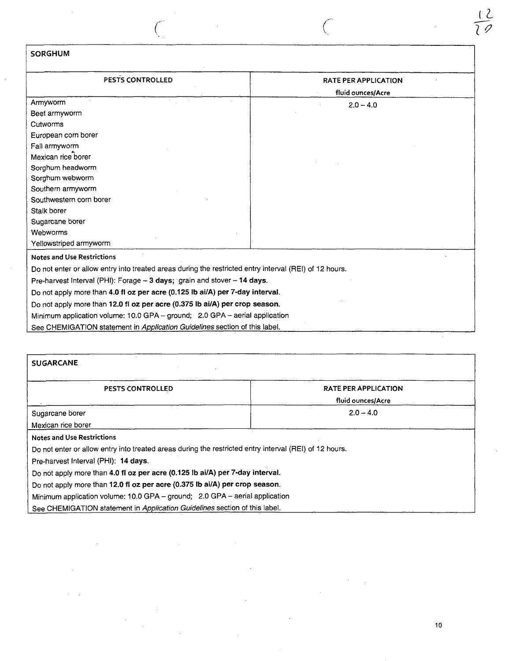| <b>SORGHUM</b>                                                                                         |                             |
|--------------------------------------------------------------------------------------------------------|-----------------------------|
| PESTS CONTROLLED                                                                                       | <b>RATE PER APPLICATION</b> |
|                                                                                                        | fluid ounces/Acre           |
| Armyworm                                                                                               | $2.0 - 4.0$                 |
| Beet armyworm                                                                                          |                             |
| Cutworms                                                                                               |                             |
| European corn borer                                                                                    |                             |
| Fall armyworm                                                                                          |                             |
| Mexican rice borer                                                                                     |                             |
| Sorghum headworm                                                                                       |                             |
| Sorghum webworm                                                                                        |                             |
| Southern armyworm                                                                                      |                             |
| Southwestern corn borer                                                                                |                             |
| Stalk borer                                                                                            |                             |
| Sugarcane borer                                                                                        |                             |
| Webworms                                                                                               |                             |
| Yellowstriped armyworm                                                                                 |                             |
| <b>Notes and Use Restrictions</b>                                                                      |                             |
| Do not enter or allow entry into treated areas during the restricted entry interval (REI) of 12 hours. |                             |
| Pre-harvest Interval (PHI): Forage - 3 days; grain and stover - 14 days.                               |                             |
| Do not apply more than 4.0 fl oz per acre (0.125 lb ai/A) per 7-day interval.                          |                             |
| Do not apply more than 12.0 fl oz per acre (0.375 lb ai/A) per crop season.                            |                             |
| Minimum application volume: 10.0 GPA - ground; 2.0 GPA - aerial application                            |                             |
| See CHEMIGATION statement in Application Guidelines section of this label.                             |                             |

 $\hat{\mathcal{A}}$ 

 $\mathcal{A}$ 

 $\bar{z}$ 

 $\hat{L}$  and  $\hat{L}$ 

| <b>SUGARCANE</b>                                                                                       |                                                  |
|--------------------------------------------------------------------------------------------------------|--------------------------------------------------|
| PESTS CONTROLLED                                                                                       | <b>RATE PER APPLICATION</b><br>fluid ounces/Acre |
| Sugarcane borer                                                                                        | $2.0 - 4.0$                                      |
| Mexican rice borer                                                                                     |                                                  |
| <b>Notes and Use Restrictions</b>                                                                      |                                                  |
| Do not enter or allow entry into treated areas during the restricted entry interval (REI) of 12 hours. |                                                  |
| Pre-harvest Interval (PHI): 14 days.                                                                   |                                                  |
| Do not apply more than 4.0 fl oz per acre (0.125 lb ai/A) per 7-day interval.                          |                                                  |
| Do not apply more than 12.0 fl oz per acre (0.375 lb ai/A) per crop season.                            |                                                  |
| Minimum application volume: 10.0 GPA - ground; 2.0 GPA - aerial application                            |                                                  |
| See CHEMIGATION statement in Application Guidelines section of this label.                             |                                                  |

 $\bar{\bar{z}}$ 

 $\label{eq:2.1} \mathcal{L}(\mathcal{L}^{\mathcal{L}}_{\mathcal{L}}(\mathcal{L}^{\mathcal{L}}_{\mathcal{L}})) = \mathcal{L}(\mathcal{L}^{\mathcal{L}}_{\mathcal{L}}(\mathcal{L}^{\mathcal{L}}_{\mathcal{L}})) = \mathcal{L}(\mathcal{L}^{\mathcal{L}}_{\mathcal{L}}(\mathcal{L}^{\mathcal{L}}_{\mathcal{L}}))$ 

 $\mathcal{L}_{\text{eff}}$ 

 $\bar{\beta}$ 

 $\mathcal{A}=\mathcal{A}$ 

 $\mathcal{L}$ 

 $\mathbf{r}$ 

 $\underline{\mathcal{L}}$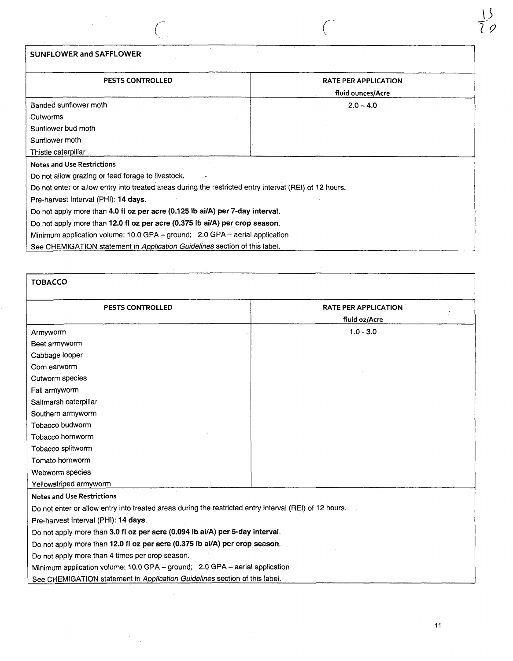| <b>SUNFLOWER and SAFFLOWER</b>                                                                                                                              |                                           |
|-------------------------------------------------------------------------------------------------------------------------------------------------------------|-------------------------------------------|
| <b>PESTS CONTROLLED</b>                                                                                                                                     | RATE PER APPLICATION<br>fluid ounces/Acre |
| Banded sunflower moth                                                                                                                                       | $2.0 - 4.0$                               |
| Cutworms                                                                                                                                                    |                                           |
| Sunflower bud moth                                                                                                                                          |                                           |
| Sunflower moth                                                                                                                                              |                                           |
| Thistle caterpillar                                                                                                                                         |                                           |
| <b>Notes and Use Restrictions</b>                                                                                                                           |                                           |
| Do not allow grazing or feed forage to livestock.<br>Do not enter or allow entry into treated areas during the restricted entry interval (REI) of 12 hours. |                                           |
| Pre-harvest Interval (PHI): 14 days.                                                                                                                        |                                           |
| Do not apply more than 4.0 fl oz per acre (0.125 lb ai/A) per 7-day interval.                                                                               |                                           |
| Do not apply more than 12.0 fl oz per acre (0.375 lb ai/A) per crop season.                                                                                 |                                           |
| Minimum application volume: 10.0 GPA - ground; 2.0 GPA - aerial application                                                                                 |                                           |
| See CHEMIGATION statement in Application Guidelines section of this label.                                                                                  |                                           |

 $\sim$ 

 $\bar{\mathcal{A}}$ 

| <b>TOBACCO</b>                                                                                         |                                              |
|--------------------------------------------------------------------------------------------------------|----------------------------------------------|
| <b>PESTS CONTROLLED</b>                                                                                | <b>RATE PER APPLICATION</b><br>fluid oz/Acre |
| Armyworm                                                                                               | $1.0 - 3.0$                                  |
| Beet armyworm                                                                                          |                                              |
| Cabbage looper                                                                                         |                                              |
| Corn earworm                                                                                           |                                              |
| Cutworm species                                                                                        |                                              |
| Fall armyworm                                                                                          |                                              |
| Saltmarsh caterpillar                                                                                  |                                              |
| Southern armyworm                                                                                      |                                              |
| Tobacco budworm                                                                                        |                                              |
| Tobacco hornworm                                                                                       |                                              |
| Tobacco splitworm                                                                                      |                                              |
| Tomato hornworm                                                                                        |                                              |
| Webworm species                                                                                        |                                              |
| Yellowstriped armyworm                                                                                 |                                              |
| <b>Notes and Use Restrictions</b>                                                                      |                                              |
| Do not enter or allow entry into treated areas during the restricted entry interval (REI) of 12 hours. |                                              |
| Pre-harvest Interval (PHI): 14 days.                                                                   |                                              |
| Do not apply more than 3.0 fl oz per acre (0.094 lb ai/A) per 5-day interval.                          |                                              |
| Do not apply more than 12.0 fl oz per acre (0.375 lb ai/A) per crop season.                            |                                              |
| Do not apply more than 4 times per crop season.                                                        |                                              |
| Minimum application volume: 10.0 GPA - ground; 2.0 GPA - aerial application                            |                                              |
| See CHEMIGATION statement in Application Guidelines section of this label.                             |                                              |

 $rac{13}{20}$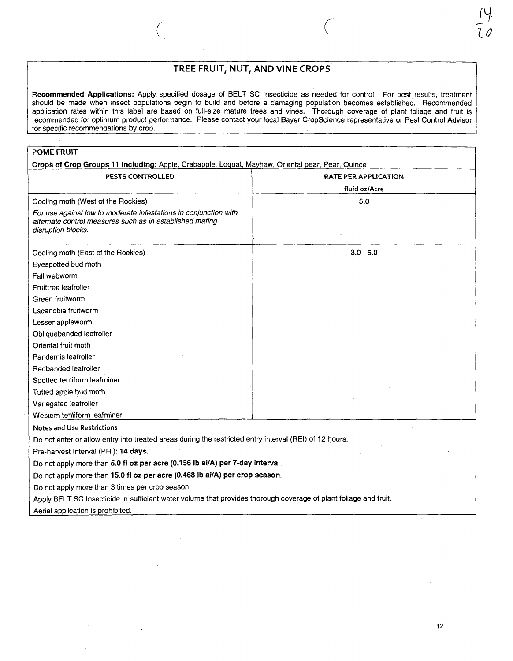## TREE FRUIT, NUT, AND VINE CROPS

 $\overline{C}$ 

Recommended Applications: Apply specified dosage of BELT SC Insecticide as needed for control. For best results, treatment should be made when insect populations begin to build and before a damaging population becomes established. Recommended application rates within this label are based on full-size mature trees and vines. Thorough coverage of plant foliage and fruit is recommended for optimum product performance. Please contact your local Bayer CropScience representative or Pest Control Advisor for specific recommendations by crop.

| <b>PESTS CONTROLLED</b>                                                                                                                            | <b>RATE PER APPLICATION</b><br>fluid oz/Acre |
|----------------------------------------------------------------------------------------------------------------------------------------------------|----------------------------------------------|
| Codling moth (West of the Rockies)                                                                                                                 | 5.0                                          |
| For use against low to moderate infestations in conjunction with<br>alternate control measures such as in established mating<br>disruption blocks. |                                              |
| Codling moth (East of the Rockies)                                                                                                                 | $3.0 - 5.0$                                  |
| Eyespotted bud moth                                                                                                                                |                                              |
| Fall webworm                                                                                                                                       |                                              |
| Fruittree leafroller                                                                                                                               |                                              |
| Green fruitworm                                                                                                                                    |                                              |
| Lacanobia fruitworm                                                                                                                                |                                              |
| Lesser appleworm                                                                                                                                   |                                              |
| Obliquebanded leafroller                                                                                                                           |                                              |
| Oriental fruit moth                                                                                                                                |                                              |
| Pandemis leafroller                                                                                                                                |                                              |
| Redbanded leafroller                                                                                                                               |                                              |
| Spotted tentiform leafminer                                                                                                                        |                                              |
| Tufted apple bud moth                                                                                                                              |                                              |
| Variegated leafroller                                                                                                                              |                                              |
| Western tentiform leafminer                                                                                                                        |                                              |
| <b>Notes and Use Restrictions</b>                                                                                                                  |                                              |
| Do not enter or allow entry into treated areas during the restricted entry interval (REI) of 12 hours.                                             |                                              |
| Pre-harvest Interval (PHI): 14 days.                                                                                                               |                                              |
| Do not apply more than 5.0 fl oz per acre (0.156 lb ai/A) per 7-day interval.                                                                      |                                              |
| Do not apply more than 15.0 fl oz per acre (0.468 lb ai/A) per crop season.                                                                        |                                              |
| Do not apply more than 3 times per crop season.                                                                                                    |                                              |
| Apply BELT SC Insecticide in sufficient water volume that provides thorough coverage of plant foliage and fruit.                                   |                                              |
| Aerial application is prohibited.                                                                                                                  |                                              |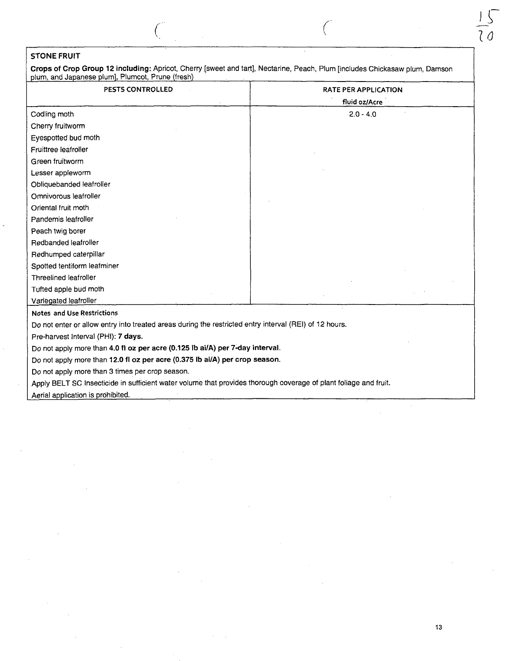## STONE FRUIT

Crops of Crop Group 12 including: Apricot, Cherry [sweet and tart], Nectarine, Peach, Plum [includes Chickasaw plum, Damson plum, and Japanese plum], Plumcot, Prune (fresh)

| <b>PESTS CONTROLLED</b>                                                                                | <b>RATE PER APPLICATION</b><br>fluid oz/Acre |
|--------------------------------------------------------------------------------------------------------|----------------------------------------------|
| Codling moth                                                                                           | $-2.0 - 4.0$                                 |
| Cherry fruitworm                                                                                       |                                              |
| Eyespotted bud moth                                                                                    |                                              |
| Fruittree leafroller                                                                                   |                                              |
| Green fruitworm                                                                                        |                                              |
| Lesser appleworm                                                                                       |                                              |
| Obliquebanded leafroller                                                                               |                                              |
| Omnivorous leafroller                                                                                  |                                              |
| Oriental fruit moth                                                                                    |                                              |
| Pandemis leafroller                                                                                    |                                              |
| Peach twig borer                                                                                       |                                              |
| Redbanded leafroller                                                                                   |                                              |
| Redhumped caterpillar                                                                                  |                                              |
| Spotted tentiform leafminer                                                                            |                                              |
| Threelined leafroller                                                                                  |                                              |
| Tufted apple bud moth                                                                                  |                                              |
| Variegated leafroller                                                                                  |                                              |
| <b>Notes and Use Restrictions</b>                                                                      |                                              |
| Do not enter or allow entry into treated areas during the restricted entry interval (REI) of 12 hours. |                                              |
| Pre-harvest Interval (PHI): 7 days.                                                                    |                                              |

Do not apply more than 4.0 fl 02 per acre (0.125 Ib ai/A) per 7-day interval.

Do not apply more than 12.0 fl oz per acre (0.375 Ib ai/A) per crop season.

Do not apply more than 3 times per crop season.

Apply BELT SC Insecticide in sufficient water volume that provides thorough coverage of plant foliage and fruit.

Aerial application is prohibited.

 $\mathcal{C}$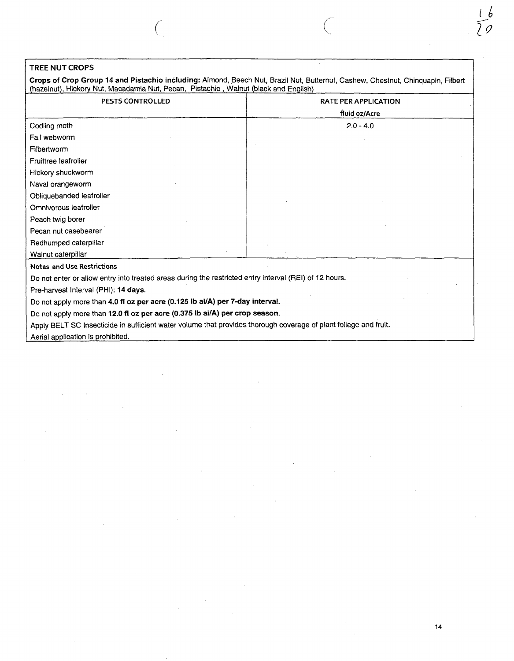## TREE NUT CROPS

Crops of Crop Group 14 and Pistachio including: Almond, Beech Nut, Brazil Nut, Butternut, Cashew, Chestnut, Chinquapin, Filbert (hazelnut), Hickory Nut, Macadamia Nut, Pecan, Pistachio , Walnut (black and English)

| PESTS CONTROLLED                                                                                                 | <b>RATE PER APPLICATION</b> |
|------------------------------------------------------------------------------------------------------------------|-----------------------------|
|                                                                                                                  | fluid oz/Acre               |
| Codling moth                                                                                                     | $2.0 - 4.0$                 |
| Fall webworm                                                                                                     |                             |
| Filbertworm                                                                                                      |                             |
| Fruittree leafroller                                                                                             |                             |
| Hickory shuckworm                                                                                                |                             |
| Naval orangeworm                                                                                                 |                             |
| Obliquebanded leafroller                                                                                         |                             |
| Omnivorous leafroller                                                                                            |                             |
| Peach twig borer                                                                                                 |                             |
| Pecan nut casebearer                                                                                             |                             |
| Redhumped caterpillar                                                                                            |                             |
| Walnut caterpillar                                                                                               |                             |
| <b>Notes and Use Restrictions</b>                                                                                |                             |
| Do not enter or allow entry into treated areas during the restricted entry interval (REI) of 12 hours.           |                             |
| Pre-harvest Interval (PHI): 14 days.                                                                             |                             |
| Do not apply more than 4.0 fl oz per acre (0.125 lb ai/A) per 7-day interval.                                    |                             |
| Do not apply more than 12.0 fl oz per acre (0.375 lb ai/A) per crop season.                                      |                             |
| Apply BELT SC Insecticide in sufficient water volume that provides thorough coverage of plant foliage and fruit. |                             |
| Aerial application is prohibited.                                                                                |                             |

 $\bar{z}$ 

14

 $\sqrt{2}$ 

 $\ell$  !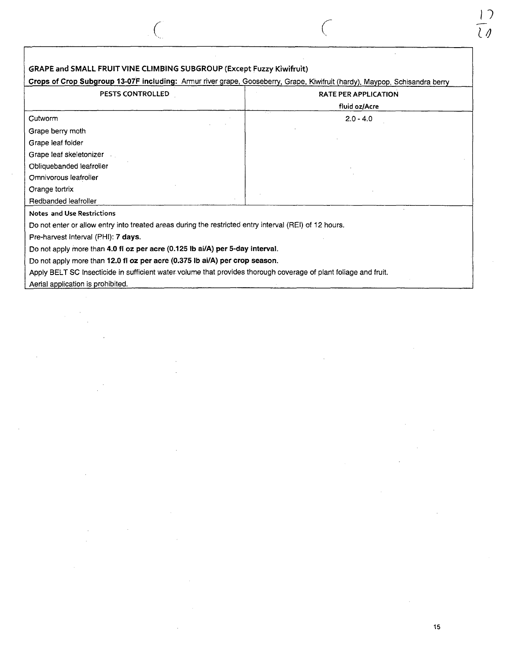| GRAPE and SMALL FRUIT VINE CLIMBING SUBGROUP (Except Fuzzy Kiwifruit)                                                      |                             |
|----------------------------------------------------------------------------------------------------------------------------|-----------------------------|
| Crops of Crop Subgroup 13-07F including: Armur river grape, Gooseberry, Grape, Kiwifruit (hardy), Maypop, Schisandra berry |                             |
| <b>PESTS CONTROLLED</b>                                                                                                    | <b>RATE PER APPLICATION</b> |
|                                                                                                                            | fluid oz/Acre               |
| Cutworm                                                                                                                    | $2.0 - 4.0$                 |
| Grape berry moth                                                                                                           |                             |
| Grape leaf folder                                                                                                          |                             |
| Grape leaf skeletonizer                                                                                                    |                             |
| Obliquebanded leafroller                                                                                                   |                             |
| Omnivorous leafroller                                                                                                      |                             |
| Orange tortrix                                                                                                             |                             |
| Redbanded leafroller                                                                                                       |                             |
| <b>Notes and Use Restrictions</b>                                                                                          |                             |
| Do not enter or allow entry into treated areas during the restricted entry interval (REI) of 12 hours.                     |                             |
| Pre-harvest Interval (PHI): 7 days.                                                                                        |                             |
| Do not apply more than 4.0 fl oz per acre (0.125 lb ai/A) per 5-day interval.                                              |                             |
| Do not apply more than 12.0 fl oz per acre (0.375 lb ai/A) per crop season.                                                |                             |
| Apply BELT SC Insecticide in sufficient water volume that provides thorough coverage of plant foliage and fruit.           |                             |
| Aerial application is prohibited.                                                                                          |                             |

 $\bigg($ 

 $\bar{z}$ 

 $\left(\right)$ 

 $\ddot{\phantom{0}}$ 

 $\sim$ 

 $\frac{1}{2}$ 

 $\frac{1}{l}$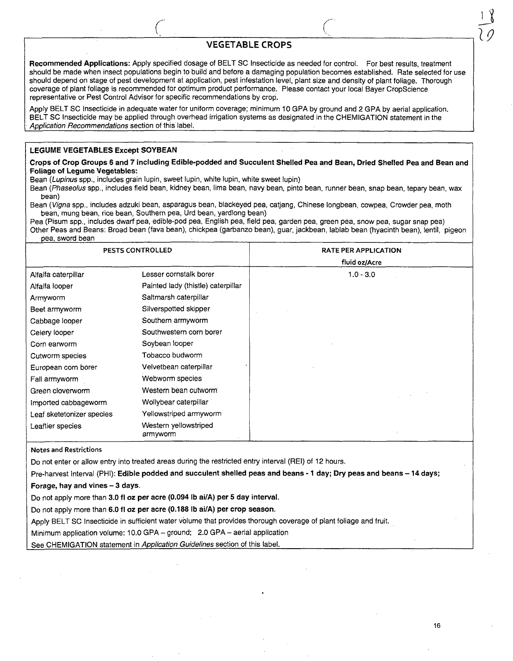#### VEGETABLE CROPS

Recommended Applications: Apply specified dosage of BELT SC Insecticide as needed for control. For best results, treatment should be made when insect populations begin to build and before a damaging population becomes established. Rate selected for use should depend on stage of pest development at application, pest infestation level, plant size and density of plant foliage. Thorough coverage of plant foliage is recommended for optimum product performance. Please contact your local Bayer CropScience representative or Pest Control Advisor for specific recommendations by crop.

Apply BELT SC Insecticide in adequate water for uniform coverage; minimum 10 GPA by ground and 2 GPA by aerial application. BELT SC Insecticide may be applied through overhead irrigation systems as designated in the CHEMIGATION statement in the Application Recommendations section of this label.

#### LEGUME VEGETABLES Except SOYBEAN

Crops of Crop Groups 6 and 7 including Edible-podded and Succulent Shelled Pea and Bean, Dried Shelled Pea and Bean and Foliage of Legume Vegetables:

Bean (Lupinus spp., includes grain lupin, sweet lupin, white lupin, white sweet lupin)

Bean (Phaseolus spp., includes field bean, kidney bean, lima bean, navy bean, pinto bean, runner bean, snap bean, tepary bean, wax bean)

Bean (Vigna spp., includes adzuki bean, asparagus bean, blackeyed pea, catiang, Chinese longbean, cowpea, Crowder pea, moth bean, mung bean, rice bean, Southern pea, Urd bean, yardlong bean)

Pea (Pisum spp., includes dwarf pea, edible-pod pea, English pea, field pea, garden pea, green pea, snow pea, sugar snap pea) Other Peas and Beans: Broad bean (fava bean), chickpea (garbanzo bean), guar, jackbean, lablab bean (hyacinth bean), lentil, pigeon pea, sword bean

| PESTS CONTROLLED          |                                    |
|---------------------------|------------------------------------|
|                           |                                    |
| Alfalfa caterpillar       | Lesser cornstalk borer             |
| Alfalfa looper            | Painted lady (thistle) caterpillar |
| Armyworm                  | Saltmarsh caterpillar              |
| Beet armyworm             | Silverspotted skipper              |
| Cabbage looper            | Southern armyworm                  |
| Celery looper             | Southwestern corn borer            |
| Corn earworm              | Soybean looper                     |
| Cutworm species           | Tobacco budworm                    |
| European corn borer       | Velvetbean caterpillar             |
| Fall armyworm             | Webworm species                    |
| Green cloverworm          | Western bean cutworm               |
| Imported cabbageworm      | Wollybear caterpillar              |
| Leaf sketetonizer species | Yellowstriped armyworm             |
| Leaftier species          | Western yellowstriped<br>armyworm  |

Notes and Restrictions

Do not enter or allow entry into treated areas during the restricted entry interval (REI) of 12 hours.

Pre-harvest Interval (PHI): Edible podded and succulent shelled peas and beans - 1 day; Dry peas and beans - 14 days;

Forage, hay and vines  $-3$  days.

Do not apply more than 3.0 fl oz per acre (0.094 Ib ai/A) per 5 day interval.

Do not apply more than 6.0 fl oz per acre (0.188 Ib ai/A) per crop season.

Apply BELT SC Insecticide in sufficient water volume that provides thorough coverage of plant foliage and fruit.

Minimum application volume: 10.0 GPA - ground; 2.0 GPA - aerial application

See CHEMIGATION statement in Application Guidelines section of this label.

 $\frac{1}{2}$ 

19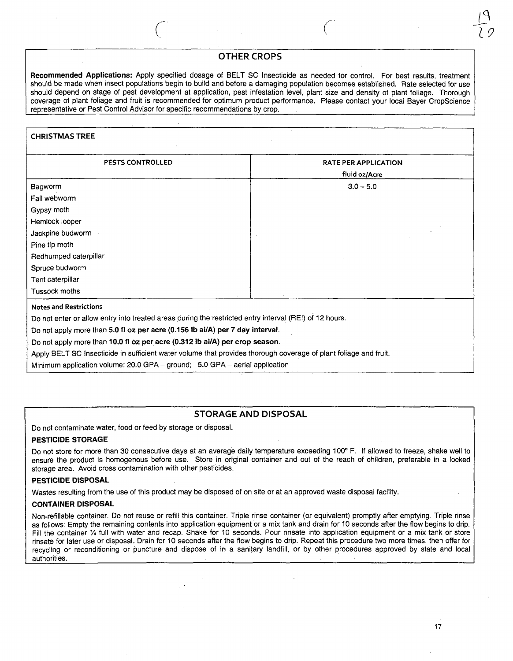## OTHER CROPS

 $\int_0^1$ 

Recommended Applications: Apply specified dosage of BELT SC Insecticide as needed for control. For best results, treatment should be made when insect populations begin to build and before a damaging population becomes established. Rate selected for use should depend on stage of pest development at application, pest infestation level, plant size and density of plant foliage. Thorough coverage of plant foliage and fruit is recommended for optimum product performance. Please contact your local Bayer CropScience representative or Pest Control Advisor for specific recommendations by crop.

## CHRISTMAS TREE PESTS CONTROLLED **RATE PER APPLICATION** fluid oz/Acre Bagworm Fall webworm Gypsy moth Hemlock looper Jackpine budworm Pine tip moth Redhumped caterpillar Spruce budworm Tent caterpillar Tussock moths  $3.0 - 5.0$ Notes and Restrictions Do not enter or allow entry into treated areas during the restricted entry interval (REI) of 12 hours. Do not apply more than 5.0 fl oz per acre (0.156 Ib ai/A) per 7 day interval. Do not apply more than 10.0 fl oz per acre (0.312 Ib ai/A) per crop season. Apply BELT SC Insecticide in sufficient water volume that provides thorough coverage of plant foliage and fruit. Minimum application volume: 20.0 GPA - ground; 5.0 GPA - aerial application

## STORAGE AND DISPOSAL

Do not contaminate water, food or feed by storage or disposal.

#### PESTICIDE STORAGE

Do not store for more than 30 consecutive days at an average daily temperature exceeding 100° F. If allowed to freeze, shake well to ensure the product is homogenous before use. Store in original container and out of the reach of children, preferable in a locked storage area. Avoid cross contamination with other pesticides.

#### PESTICIDE DISPOSAL

Wastes resulting from the use of this product may be disposed of on site or at an approved waste disposal facility.

#### CONTAINER DISPOSAL

Non-refillable container. Do not reuse or refill this container. Triple rinse container (or equivalent) promptly after emptying. Triple rinse as follows: Empty the remaining contents into application equipment or a mix tank and drain for 10 seconds after the flow begins to drip. Fill the container 1/4 full with water and recap. Shake for 10 seconds. Pour rinsate into application equipment or a mix tank or store rinsate for later use or disposal. Drain for 10 seconds after the flow begins to drip. Repeat this procedure two more times, then offer for recycling or reconditioning or puncture and dispose of in a sanitary landfill, or by other procedures approved by state and local authorities.